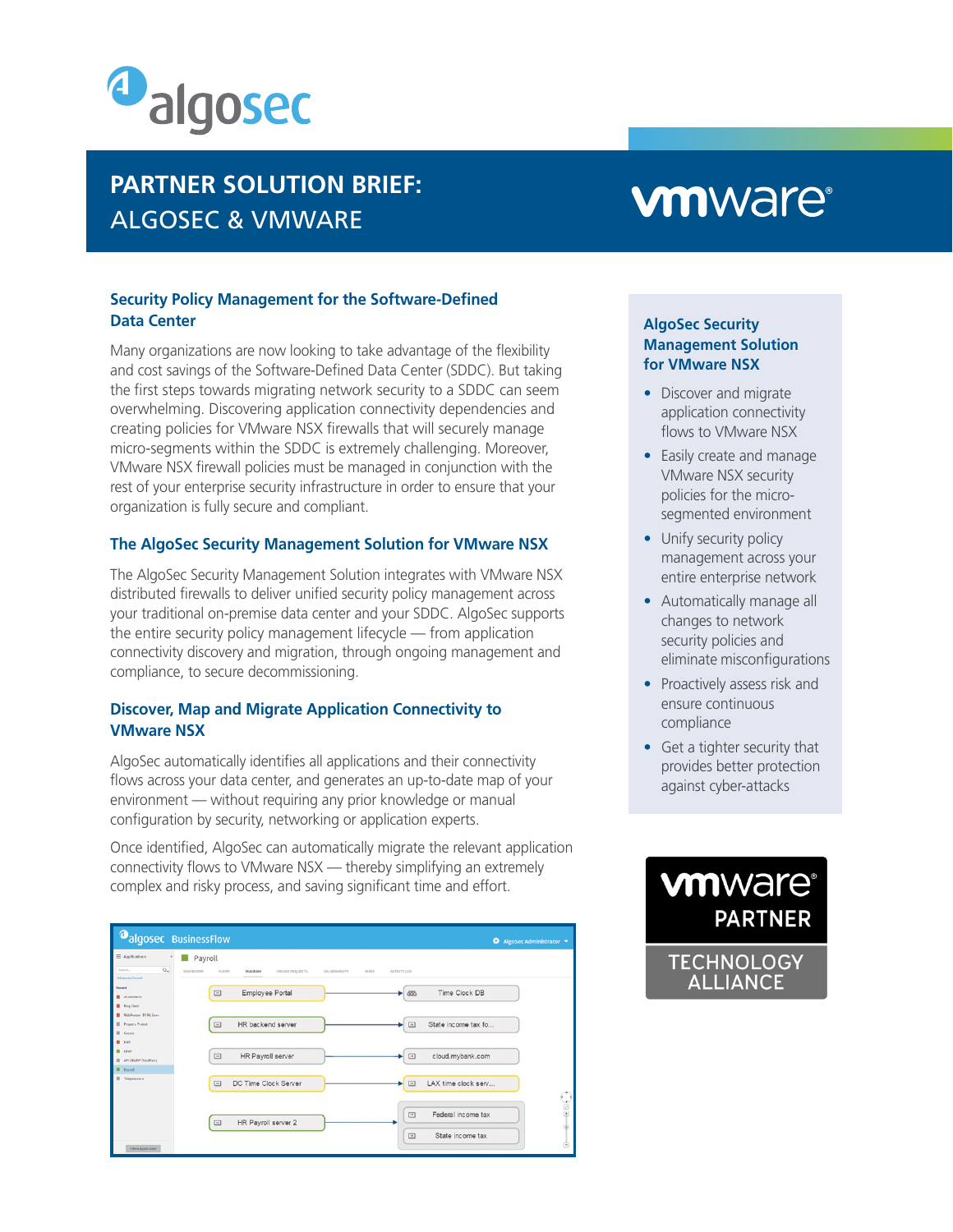

# **PARTNER SOLUTION BRIEF: ALGOSEC & VMWARE**

#### **Security Policy Management for the Software-Defined Data Center**

Many organizations are now looking to take advantage of the flexibility and cost savings of the Software-Defined Data Center (SDDC). But taking the first steps towards migrating network security to a SDDC can seem overwhelming. Discovering application connectivity dependencies and creating policies for VMware NSX firewalls that will securely manage micro-segments within the SDDC is extremely challenging. Moreover, VMware NSX firewall policies must be managed in conjunction with the rest of your enterprise security infrastructure in order to ensure that your organization is fully secure and compliant.

#### **The AlgoSec Security Management Solution for VMware NSX**

The AlgoSec Security Management Solution integrates with VMware NSX distributed firewalls to deliver unified security policy management across your traditional on-premise data center and your SDDC. AlgoSec supports the entire security policy management lifecycle  $-$  from application connectivity discovery and migration, through ongoing management and compliance, to secure decommissioning.

#### **Discover, Map and Migrate Application Connectivity to VMware NSX**

AlgoSec automatically identifies all applications and their connectivity flows across your data center, and generates an up-to-date map of your environment — without requiring any prior knowledge or manual configuration by security, networking or application experts.

Once identified, AlgoSec can automatically migrate the relevant application connectivity flows to VMware  $NSS$  — thereby simplifying an extremely complex and risky process, and saving significant time and effort.

| <b>O</b> algosec BusinessFlow                                                  |                                                                                                                                                          | AlgoSec Administrator       |
|--------------------------------------------------------------------------------|----------------------------------------------------------------------------------------------------------------------------------------------------------|-----------------------------|
| $\equiv$ Applications<br>m.<br>$Q_{\star}$<br>Search<br><b>Advanced Search</b> | Payroll<br>DASHBOARD<br><b>FLOWS</b><br><b>DIAGRAM</b><br>CHANGE REQUESTS<br><b><i>VULNERABILITY</i></b><br>ACTIVITY LOG<br><b>RISKS</b>                 |                             |
| Recent<br><b>E</b> eCommerce<br><b>Help Desk</b><br>WebAccess - DCN3 Zene      | Time Clock DB<br>Employee Portal<br>$\Box$<br>655                                                                                                        |                             |
| <b>III</b> Peppers Project<br>Coyote<br><b>B</b> DNS<br>LDAP<br>٠              | HR backend server<br>State income tax fo<br>$\Box$<br>$\Box$                                                                                             |                             |
| API-DEAPP-ThirdParty<br>Payroll<br>п<br>m<br>Telepresence                      | HR Payroll server<br>cloud.mybank.com<br>$\qquad \qquad \Box$<br>$\qquad \qquad \Box$<br>LAX time clock serv<br>DC Time Clock Server<br>$\Box$<br>$\Box$ |                             |
|                                                                                | Federal income tax<br>$\qquad \qquad \Box$<br>HR Payroll server 2<br>$\Box$                                                                              | $\bigodot\mbox{S}=\mbox{O}$ |
| . New Application                                                              | State income tax<br>$\qquad \qquad \Box$                                                                                                                 | è                           |

# **vmware**®

#### **AlgoSec Security Management Solution for VMware NSX**

- Discover and migrate application connectivity flows to VMware NSX
- Easily create and manage VMware NSX security segmented environment policies for the micro-
- Unify security policy management across your entire enterprise network
- Automatically manage all changes to network security policies and eliminate misconfigurations
- Proactively assess risk and ensure continuous compliance
- $\bullet$  Get a tighter security that provides better protection against cyber-attacks



**ALLIANCE**